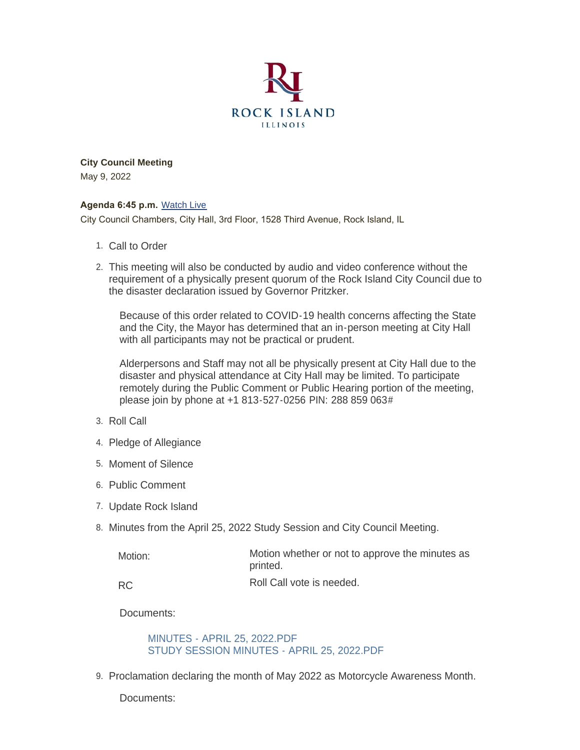

**City Council Meeting** May 9, 2022

#### **Agenda 6:45 p.m.** [Watch Live](https://www.youtube.com/user/RockIslandIL/live)

City Council Chambers, City Hall, 3rd Floor, 1528 Third Avenue, Rock Island, IL

- 1. Call to Order
- This meeting will also be conducted by audio and video conference without the 2. requirement of a physically present quorum of the Rock Island City Council due to the disaster declaration issued by Governor Pritzker.

Because of this order related to COVID-19 health concerns affecting the State and the City, the Mayor has determined that an in-person meeting at City Hall with all participants may not be practical or prudent.

Alderpersons and Staff may not all be physically present at City Hall due to the disaster and physical attendance at City Hall may be limited. To participate remotely during the Public Comment or Public Hearing portion of the meeting, please join by phone at +1 813-527-0256 PIN: 288 859 063#

- 3. Roll Call
- 4. Pledge of Allegiance
- 5. Moment of Silence
- 6. Public Comment
- 7. Update Rock Island
- 8. Minutes from the April 25, 2022 Study Session and City Council Meeting.

| Motion: | Motion whether or not to approve the minutes as<br>printed. |
|---------|-------------------------------------------------------------|
|         | $\sim$ $\sim$ $\sim$ $\sim$ $\sim$                          |

Roll Call vote is needed. RC

Documents:

#### [MINUTES - APRIL 25, 2022.PDF](https://www.rigov.org/AgendaCenter/ViewFile/Item/5544?fileID=7933) [STUDY SESSION MINUTES - APRIL 25, 2022.PDF](https://www.rigov.org/AgendaCenter/ViewFile/Item/5544?fileID=7934)

9. Proclamation declaring the month of May 2022 as Motorcycle Awareness Month.

Documents: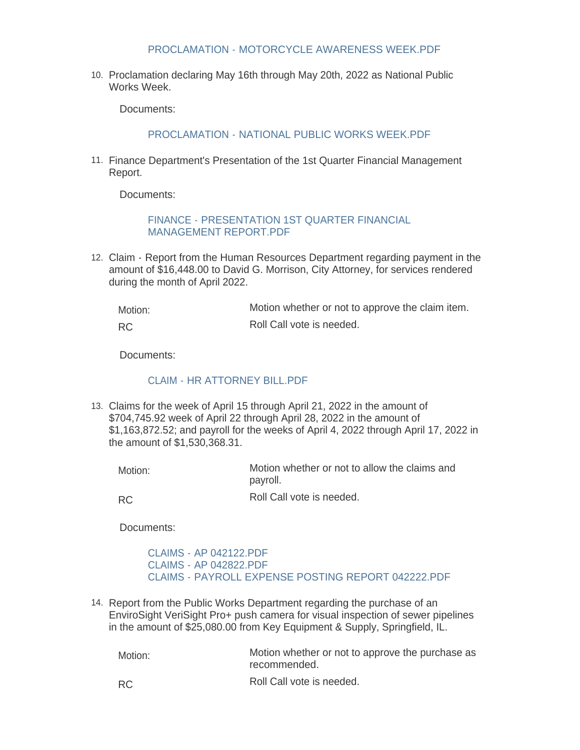#### [PROCLAMATION - MOTORCYCLE AWARENESS WEEK.PDF](https://www.rigov.org/AgendaCenter/ViewFile/Item/5546?fileID=7901)

10. Proclamation declaring May 16th through May 20th, 2022 as National Public Works Week.

Documents:

[PROCLAMATION - NATIONAL PUBLIC WORKS WEEK.PDF](https://www.rigov.org/AgendaCenter/ViewFile/Item/5547?fileID=7902)

11. Finance Department's Presentation of the 1st Quarter Financial Management Report.

Documents:

[FINANCE - PRESENTATION 1ST QUARTER FINANCIAL](https://www.rigov.org/AgendaCenter/ViewFile/Item/5557?fileID=7914)  MANAGEMENT REPORT.PDF

Claim - Report from the Human Resources Department regarding payment in the 12. amount of \$16,448.00 to David G. Morrison, City Attorney, for services rendered during the month of April 2022.

Motion whether or not to approve the claim item. Roll Call vote is needed. Motion: RC

Documents:

#### [CLAIM - HR ATTORNEY BILL.PDF](https://www.rigov.org/AgendaCenter/ViewFile/Item/5565?fileID=7923)

Claims for the week of April 15 through April 21, 2022 in the amount of 13. \$704,745.92 week of April 22 through April 28, 2022 in the amount of \$1,163,872.52; and payroll for the weeks of April 4, 2022 through April 17, 2022 in the amount of \$1,530,368.31.

Motion whether or not to allow the claims and payroll. Motion:

RC

Roll Call vote is needed.

Documents:

[CLAIMS - AP 042122.PDF](https://www.rigov.org/AgendaCenter/ViewFile/Item/5550?fileID=7908) [CLAIMS - AP 042822.PDF](https://www.rigov.org/AgendaCenter/ViewFile/Item/5550?fileID=7906) [CLAIMS - PAYROLL EXPENSE POSTING REPORT 042222.PDF](https://www.rigov.org/AgendaCenter/ViewFile/Item/5550?fileID=7905)

14. Report from the Public Works Department regarding the purchase of an EnviroSight VeriSight Pro+ push camera for visual inspection of sewer pipelines in the amount of \$25,080.00 from Key Equipment & Supply, Springfield, IL.

Motion whether or not to approve the purchase as recommended. Motion:

RC

Roll Call vote is needed.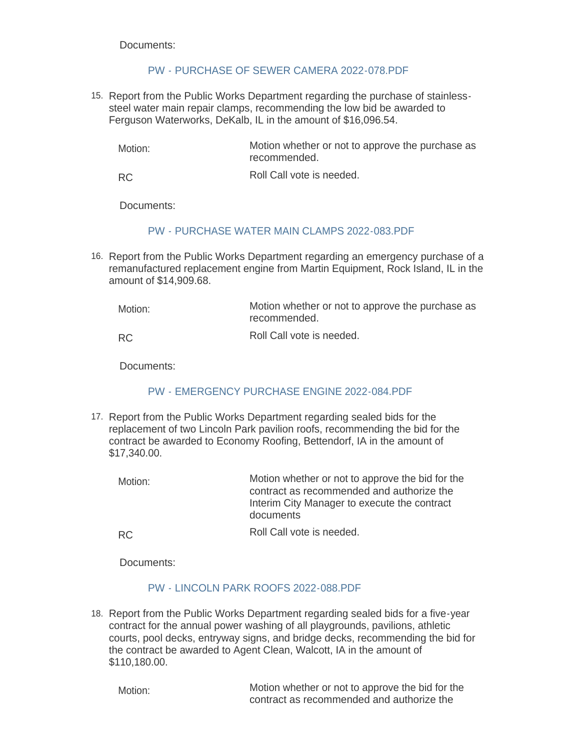## [PW - PURCHASE OF SEWER CAMERA 2022-078.PDF](https://www.rigov.org/AgendaCenter/ViewFile/Item/5558?fileID=7915)

15. Report from the Public Works Department regarding the purchase of stainlesssteel water main repair clamps, recommending the low bid be awarded to Ferguson Waterworks, DeKalb, IL in the amount of \$16,096.54.

Motion whether or not to approve the purchase as recommended. Motion:

Roll Call vote is needed. RC

Documents:

### [PW - PURCHASE WATER MAIN CLAMPS 2022-083.PDF](https://www.rigov.org/AgendaCenter/ViewFile/Item/5563?fileID=7921)

16. Report from the Public Works Department regarding an emergency purchase of a remanufactured replacement engine from Martin Equipment, Rock Island, IL in the amount of \$14,909.68.

Motion whether or not to approve the purchase as recommended. Roll Call vote is needed. Motion: RC

Documents:

# [PW - EMERGENCY PURCHASE ENGINE 2022-084.PDF](https://www.rigov.org/AgendaCenter/ViewFile/Item/5564?fileID=7922)

17. Report from the Public Works Department regarding sealed bids for the replacement of two Lincoln Park pavilion roofs, recommending the bid for the contract be awarded to Economy Roofing, Bettendorf, IA in the amount of \$17,340.00.

Motion whether or not to approve the bid for the contract as recommended and authorize the Interim City Manager to execute the contract documents Motion:

Roll Call vote is needed. RC

Documents:

### [PW - LINCOLN PARK ROOFS 2022-088.PDF](https://www.rigov.org/AgendaCenter/ViewFile/Item/5562?fileID=7920)

18. Report from the Public Works Department regarding sealed bids for a five-year contract for the annual power washing of all playgrounds, pavilions, athletic courts, pool decks, entryway signs, and bridge decks, recommending the bid for the contract be awarded to Agent Clean, Walcott, IA in the amount of \$110,180.00.

Motion:

Motion whether or not to approve the bid for the contract as recommended and authorize the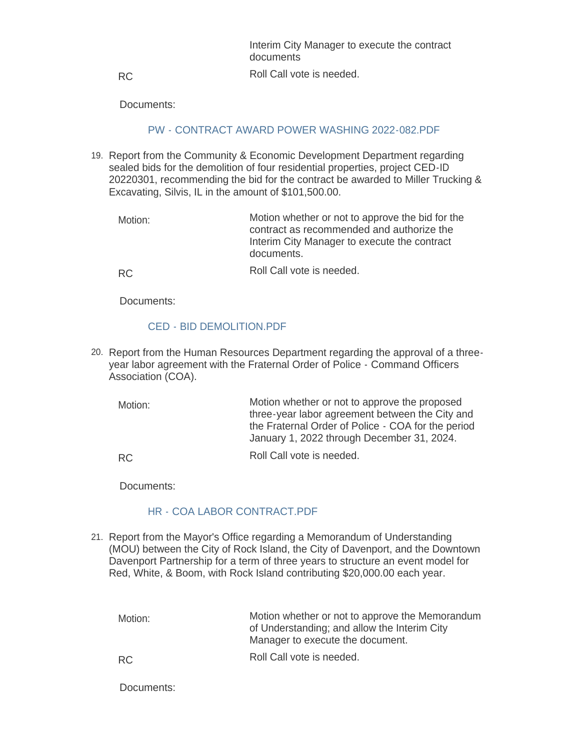| Interim City Manager to execute the contract<br>documents |
|-----------------------------------------------------------|
| Roll Call vote is needed.                                 |

RC

# [PW - CONTRACT AWARD POWER WASHING 2022-082.PDF](https://www.rigov.org/AgendaCenter/ViewFile/Item/5560?fileID=7917)

- 19. Report from the Community & Economic Development Department regarding sealed bids for the demolition of four residential properties, project CED-ID 20220301, recommending the bid for the contract be awarded to Miller Trucking & Excavating, Silvis, IL in the amount of \$101,500.00.
	- Motion whether or not to approve the bid for the contract as recommended and authorize the Interim City Manager to execute the contract documents. Motion:

RC

Roll Call vote is needed.

Documents:

### [CED - BID DEMOLITION.PDF](https://www.rigov.org/AgendaCenter/ViewFile/Item/5555?fileID=7918)

- 20. Report from the Human Resources Department regarding the approval of a threeyear labor agreement with the Fraternal Order of Police - Command Officers Association (COA).
	- Motion whether or not to approve the proposed three-year labor agreement between the City and the Fraternal Order of Police - COA for the period January 1, 2022 through December 31, 2024. Motion:

Roll Call vote is needed. RC

Documents:

### [HR - COA LABOR CONTRACT.PDF](https://www.rigov.org/AgendaCenter/ViewFile/Item/5567?fileID=7932)

21. Report from the Mayor's Office regarding a Memorandum of Understanding (MOU) between the City of Rock Island, the City of Davenport, and the Downtown Davenport Partnership for a term of three years to structure an event model for Red, White, & Boom, with Rock Island contributing \$20,000.00 each year.

Motion whether or not to approve the Memorandum of Understanding; and allow the Interim City Manager to execute the document. Roll Call vote is needed. Motion: RC

Documents: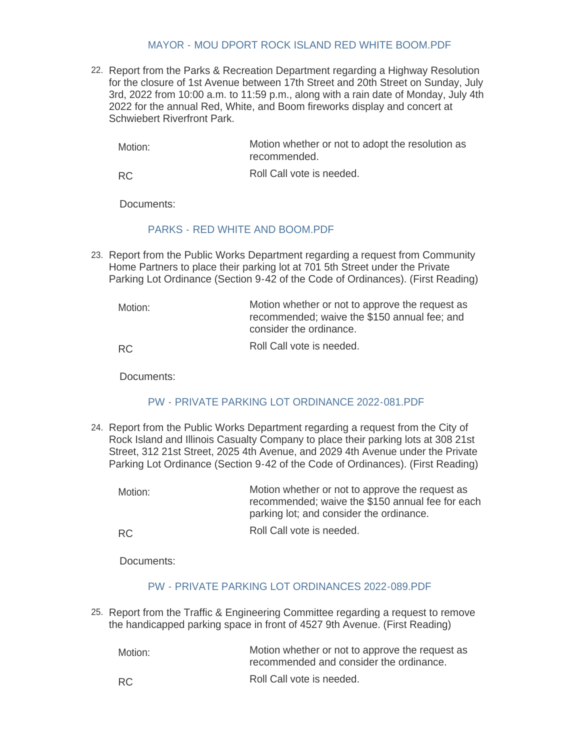#### [MAYOR - MOU DPORT ROCK ISLAND RED WHITE BOOM.PDF](https://www.rigov.org/AgendaCenter/ViewFile/Item/5566?fileID=7924)

22. Report from the Parks & Recreation Department regarding a Highway Resolution for the closure of 1st Avenue between 17th Street and 20th Street on Sunday, July 3rd, 2022 from 10:00 a.m. to 11:59 p.m., along with a rain date of Monday, July 4th 2022 for the annual Red, White, and Boom fireworks display and concert at Schwiebert Riverfront Park.

Motion whether or not to adopt the resolution as recommended. Motion:

Roll Call vote is needed. RC

Documents:

### [PARKS - RED WHITE AND BOOM.PDF](https://www.rigov.org/AgendaCenter/ViewFile/Item/5549?fileID=7904)

23. Report from the Public Works Department regarding a request from Community Home Partners to place their parking lot at 701 5th Street under the Private Parking Lot Ordinance (Section 9-42 of the Code of Ordinances). (First Reading)

| Motion: | Motion whether or not to approve the request as<br>recommended; waive the \$150 annual fee; and<br>consider the ordinance. |
|---------|----------------------------------------------------------------------------------------------------------------------------|
| RC.     | Roll Call vote is needed.                                                                                                  |

Documents:

### [PW - PRIVATE PARKING LOT ORDINANCE 2022-081.PDF](https://www.rigov.org/AgendaCenter/ViewFile/Item/5561?fileID=7919)

24. Report from the Public Works Department regarding a request from the City of Rock Island and Illinois Casualty Company to place their parking lots at 308 21st Street, 312 21st Street, 2025 4th Avenue, and 2029 4th Avenue under the Private Parking Lot Ordinance (Section 9-42 of the Code of Ordinances). (First Reading)

| Motion: | Motion whether or not to approve the request as<br>recommended; waive the \$150 annual fee for each<br>parking lot; and consider the ordinance. |
|---------|-------------------------------------------------------------------------------------------------------------------------------------------------|
| RC.     | Roll Call vote is needed.                                                                                                                       |

Documents:

### [PW - PRIVATE PARKING LOT ORDINANCES 2022-089.PDF](https://www.rigov.org/AgendaCenter/ViewFile/Item/5575?fileID=7929)

25. Report from the Traffic & Engineering Committee regarding a request to remove the handicapped parking space in front of 4527 9th Avenue. (First Reading)

| Motion: | Motion whether or not to approve the request as<br>recommended and consider the ordinance. |
|---------|--------------------------------------------------------------------------------------------|
| RC.     | Roll Call vote is needed.                                                                  |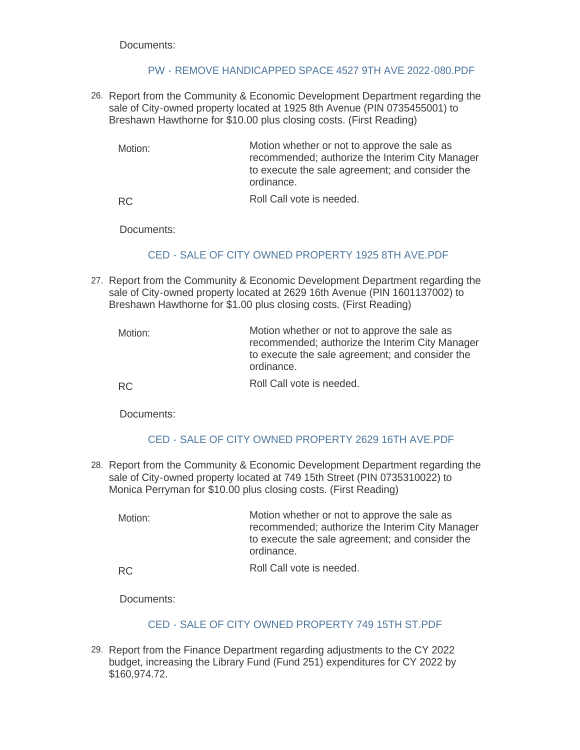### [PW - REMOVE HANDICAPPED SPACE 4527 9TH AVE 2022-080.PDF](https://www.rigov.org/AgendaCenter/ViewFile/Item/5559?fileID=7916)

- 26. Report from the Community & Economic Development Department regarding the sale of City-owned property located at 1925 8th Avenue (PIN 0735455001) to Breshawn Hawthorne for \$10.00 plus closing costs. (First Reading)
	- Motion whether or not to approve the sale as recommended; authorize the Interim City Manager to execute the sale agreement; and consider the ordinance. Motion:

Roll Call vote is needed. RC

Documents:

# [CED - SALE OF CITY OWNED PROPERTY 1925 8TH AVE.PDF](https://www.rigov.org/AgendaCenter/ViewFile/Item/5554?fileID=7911)

27. Report from the Community & Economic Development Department regarding the sale of City-owned property located at 2629 16th Avenue (PIN 1601137002) to Breshawn Hawthorne for \$1.00 plus closing costs. (First Reading)

| Motion: | Motion whether or not to approve the sale as<br>recommended; authorize the Interim City Manager<br>to execute the sale agreement; and consider the<br>ordinance. |
|---------|------------------------------------------------------------------------------------------------------------------------------------------------------------------|
| RC.     | Roll Call vote is needed.                                                                                                                                        |

Documents:

# [CED - SALE OF CITY OWNED PROPERTY 2629 16TH AVE.PDF](https://www.rigov.org/AgendaCenter/ViewFile/Item/5556?fileID=7913)

28. Report from the Community & Economic Development Department regarding the sale of City-owned property located at 749 15th Street (PIN 0735310022) to Monica Perryman for \$10.00 plus closing costs. (First Reading)

Motion whether or not to approve the sale as recommended; authorize the Interim City Manager to execute the sale agreement; and consider the ordinance. Motion:

RC

Roll Call vote is needed.

Documents:

### [CED - SALE OF CITY OWNED PROPERTY 749 15TH ST.PDF](https://www.rigov.org/AgendaCenter/ViewFile/Item/5553?fileID=7910)

Report from the Finance Department regarding adjustments to the CY 2022 29. budget, increasing the Library Fund (Fund 251) expenditures for CY 2022 by \$160,974.72.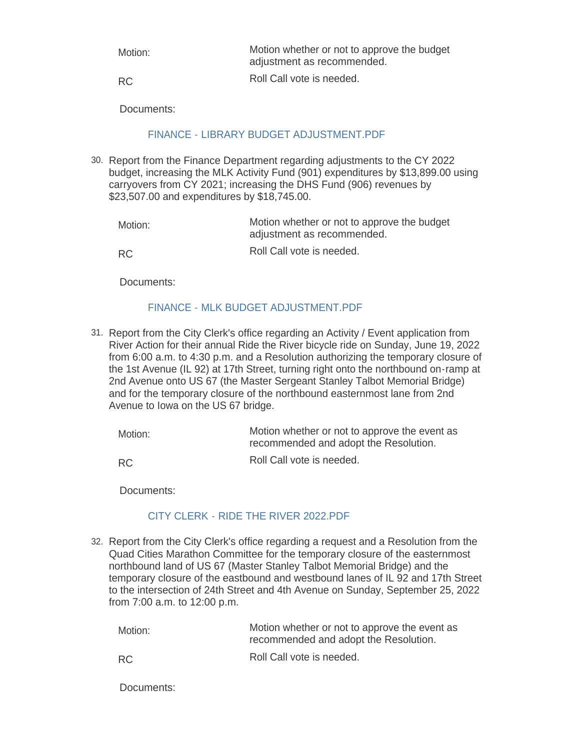| Motion:   | Motion whether or not to approve the budget<br>adjustment as recommended. |
|-----------|---------------------------------------------------------------------------|
| <b>RC</b> | Roll Call vote is needed.                                                 |

# [FINANCE - LIBRARY BUDGET ADJUSTMENT.PDF](https://www.rigov.org/AgendaCenter/ViewFile/Item/5552?fileID=7909)

Report from the Finance Department regarding adjustments to the CY 2022 30. budget, increasing the MLK Activity Fund (901) expenditures by \$13,899.00 using carryovers from CY 2021; increasing the DHS Fund (906) revenues by \$23,507.00 and expenditures by \$18,745.00.

| Motion:   | Motion whether or not to approve the budget<br>adjustment as recommended. |
|-----------|---------------------------------------------------------------------------|
| <b>RC</b> | Roll Call vote is needed.                                                 |

Documents:

## [FINANCE - MLK BUDGET ADJUSTMENT.PDF](https://www.rigov.org/AgendaCenter/ViewFile/Item/5551?fileID=7907)

31. Report from the City Clerk's office regarding an Activity / Event application from River Action for their annual Ride the River bicycle ride on Sunday, June 19, 2022 from 6:00 a.m. to 4:30 p.m. and a Resolution authorizing the temporary closure of the 1st Avenue (IL 92) at 17th Street, turning right onto the northbound on-ramp at 2nd Avenue onto US 67 (the Master Sergeant Stanley Talbot Memorial Bridge) and for the temporary closure of the northbound easternmost lane from 2nd Avenue to Iowa on the US 67 bridge.

| Motion:   | Motion whether or not to approve the event as<br>recommended and adopt the Resolution. |
|-----------|----------------------------------------------------------------------------------------|
| <b>RC</b> | Roll Call vote is needed.                                                              |

Documents:

### [CITY CLERK - RIDE THE RIVER 2022.PDF](https://www.rigov.org/AgendaCenter/ViewFile/Item/5569?fileID=7925)

32. Report from the City Clerk's office regarding a request and a Resolution from the Quad Cities Marathon Committee for the temporary closure of the easternmost northbound land of US 67 (Master Stanley Talbot Memorial Bridge) and the temporary closure of the eastbound and westbound lanes of IL 92 and 17th Street to the intersection of 24th Street and 4th Avenue on Sunday, September 25, 2022 from 7:00 a.m. to 12:00 p.m.

| Motion: | Motion whether or not to approve the event as<br>recommended and adopt the Resolution. |
|---------|----------------------------------------------------------------------------------------|
| RC.     | Roll Call vote is needed.                                                              |

Documents: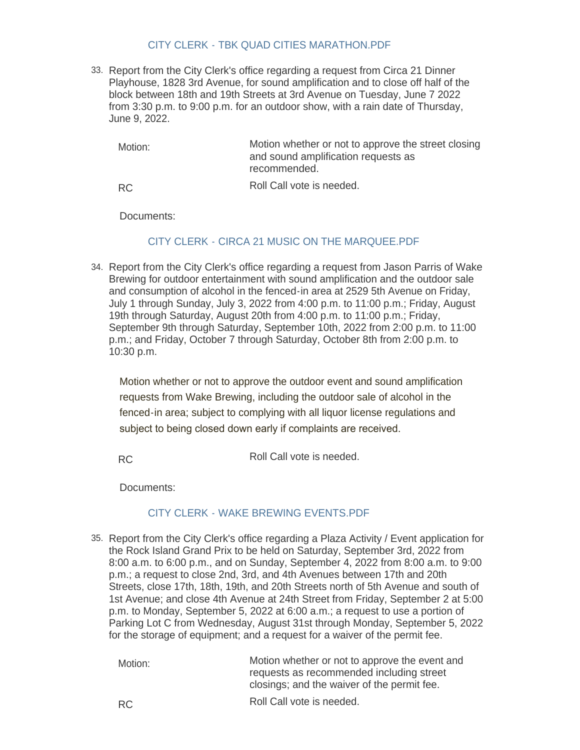### [CITY CLERK - TBK QUAD CITIES MARATHON.PDF](https://www.rigov.org/AgendaCenter/ViewFile/Item/5572?fileID=7928)

33. Report from the City Clerk's office regarding a request from Circa 21 Dinner Playhouse, 1828 3rd Avenue, for sound amplification and to close off half of the block between 18th and 19th Streets at 3rd Avenue on Tuesday, June 7 2022 from 3:30 p.m. to 9:00 p.m. for an outdoor show, with a rain date of Thursday, June 9, 2022.

Motion whether or not to approve the street closing and sound amplification requests as recommended. Roll Call vote is needed. Motion: RC

Documents:

## [CITY CLERK - CIRCA 21 MUSIC ON THE MARQUEE.PDF](https://www.rigov.org/AgendaCenter/ViewFile/Item/5548?fileID=7903)

34. Report from the City Clerk's office regarding a request from Jason Parris of Wake Brewing for outdoor entertainment with sound amplification and the outdoor sale and consumption of alcohol in the fenced-in area at 2529 5th Avenue on Friday, July 1 through Sunday, July 3, 2022 from 4:00 p.m. to 11:00 p.m.; Friday, August 19th through Saturday, August 20th from 4:00 p.m. to 11:00 p.m.; Friday, September 9th through Saturday, September 10th, 2022 from 2:00 p.m. to 11:00 p.m.; and Friday, October 7 through Saturday, October 8th from 2:00 p.m. to 10:30 p.m.

Motion whether or not to approve the outdoor event and sound amplification requests from Wake Brewing, including the outdoor sale of alcohol in the fenced-in area; subject to complying with all liquor license regulations and subject to being closed down early if complaints are received.

Roll Call vote is needed. RC

Documents:

# [CITY CLERK - WAKE BREWING EVENTS.PDF](https://www.rigov.org/AgendaCenter/ViewFile/Item/5571?fileID=7927)

35. Report from the City Clerk's office regarding a Plaza Activity / Event application for the Rock Island Grand Prix to be held on Saturday, September 3rd, 2022 from 8:00 a.m. to 6:00 p.m., and on Sunday, September 4, 2022 from 8:00 a.m. to 9:00 p.m.; a request to close 2nd, 3rd, and 4th Avenues between 17th and 20th Streets, close 17th, 18th, 19th, and 20th Streets north of 5th Avenue and south of 1st Avenue; and close 4th Avenue at 24th Street from Friday, September 2 at 5:00 p.m. to Monday, September 5, 2022 at 6:00 a.m.; a request to use a portion of Parking Lot C from Wednesday, August 31st through Monday, September 5, 2022 for the storage of equipment; and a request for a waiver of the permit fee.

| Motion: | Motion whether or not to approve the event and<br>requests as recommended including street<br>closings; and the waiver of the permit fee. |
|---------|-------------------------------------------------------------------------------------------------------------------------------------------|
| -RC     | Roll Call vote is needed.                                                                                                                 |

RC